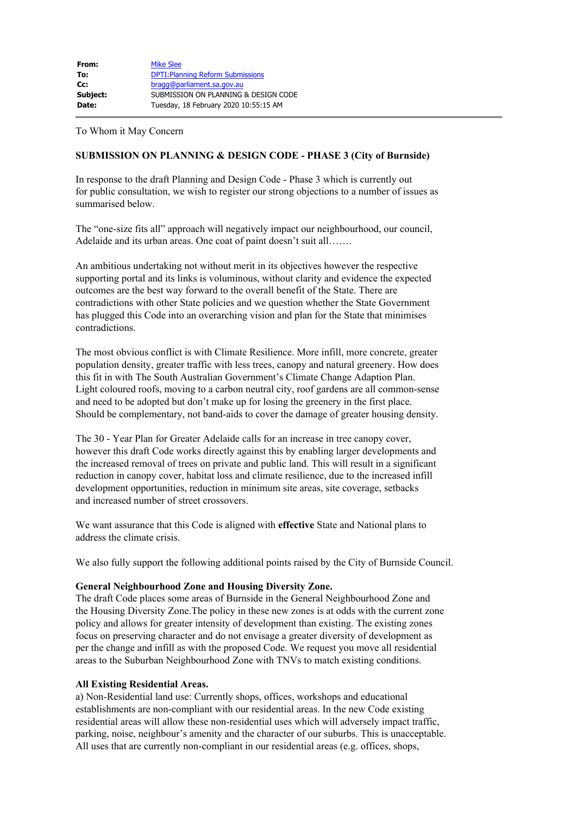| From:    | <b>Mike Slee</b>                         |
|----------|------------------------------------------|
| To:      | <b>DPTI: Planning Reform Submissions</b> |
| $Cc$ :   | bragg@parliament.sa.gov.au               |
| Subject: | SUBMISSION ON PLANNING & DESIGN CODE     |
| Date:    | Tuesday, 18 February 2020 10:55:15 AM    |

To Whom it May Concern

# **SUBMISSION ON PLANNING & DESIGN CODE - PHASE 3 (City of Burnside)**

In response to the draft Planning and Design Code - Phase 3 which is currently out for public consultation, we wish to register our strong objections to a number of issues as summarised below.

The "one-size fits all" approach will negatively impact our neighbourhood, our council, Adelaide and its urban areas. One coat of paint doesn't suit all…….

An ambitious undertaking not without merit in its objectives however the respective supporting portal and its links is voluminous, without clarity and evidence the expected outcomes are the best way forward to the overall benefit of the State. There are contradictions with other State policies and we question whether the State Government has plugged this Code into an overarching vision and plan for the State that minimises contradictions.

The most obvious conflict is with Climate Resilience. More infill, more concrete, greater population density, greater traffic with less trees, canopy and natural greenery. How does this fit in with The South Australian Government's Climate Change Adaption Plan. Light coloured roofs, moving to a carbon neutral city, roof gardens are all common-sense and need to be adopted but don't make up for losing the greenery in the first place. Should be complementary, not band-aids to cover the damage of greater housing density.

The 30 - Year Plan for Greater Adelaide calls for an increase in tree canopy cover, however this draft Code works directly against this by enabling larger developments and the increased removal of trees on private and public land. This will result in a significant reduction in canopy cover, habitat loss and climate resilience, due to the increased infill development opportunities, reduction in minimum site areas, site coverage, setbacks and increased number of street crossovers.

We want assurance that this Code is aligned with **effective** State and National plans to address the climate crisis.

We also fully support the following additional points raised by the City of Burnside Council.

#### **General Neighbourhood Zone and Housing Diversity Zone.**

The draft Code places some areas of Burnside in the General Neighbourhood Zone and the Housing Diversity Zone.The policy in these new zones is at odds with the current zone policy and allows for greater intensity of development than existing. The existing zones focus on preserving character and do not envisage a greater diversity of development as per the change and infill as with the proposed Code. We request you move all residential areas to the Suburban Neighbourhood Zone with TNVs to match existing conditions.

#### **All Existing Residential Areas.**

a) Non-Residential land use: Currently shops, offices, workshops and educational establishments are non-compliant with our residential areas. In the new Code existing residential areas will allow these non-residential uses which will adversely impact traffic, parking, noise, neighbour's amenity and the character of our suburbs. This is unacceptable. All uses that are currently non-compliant in our residential areas (e.g. offices, shops,